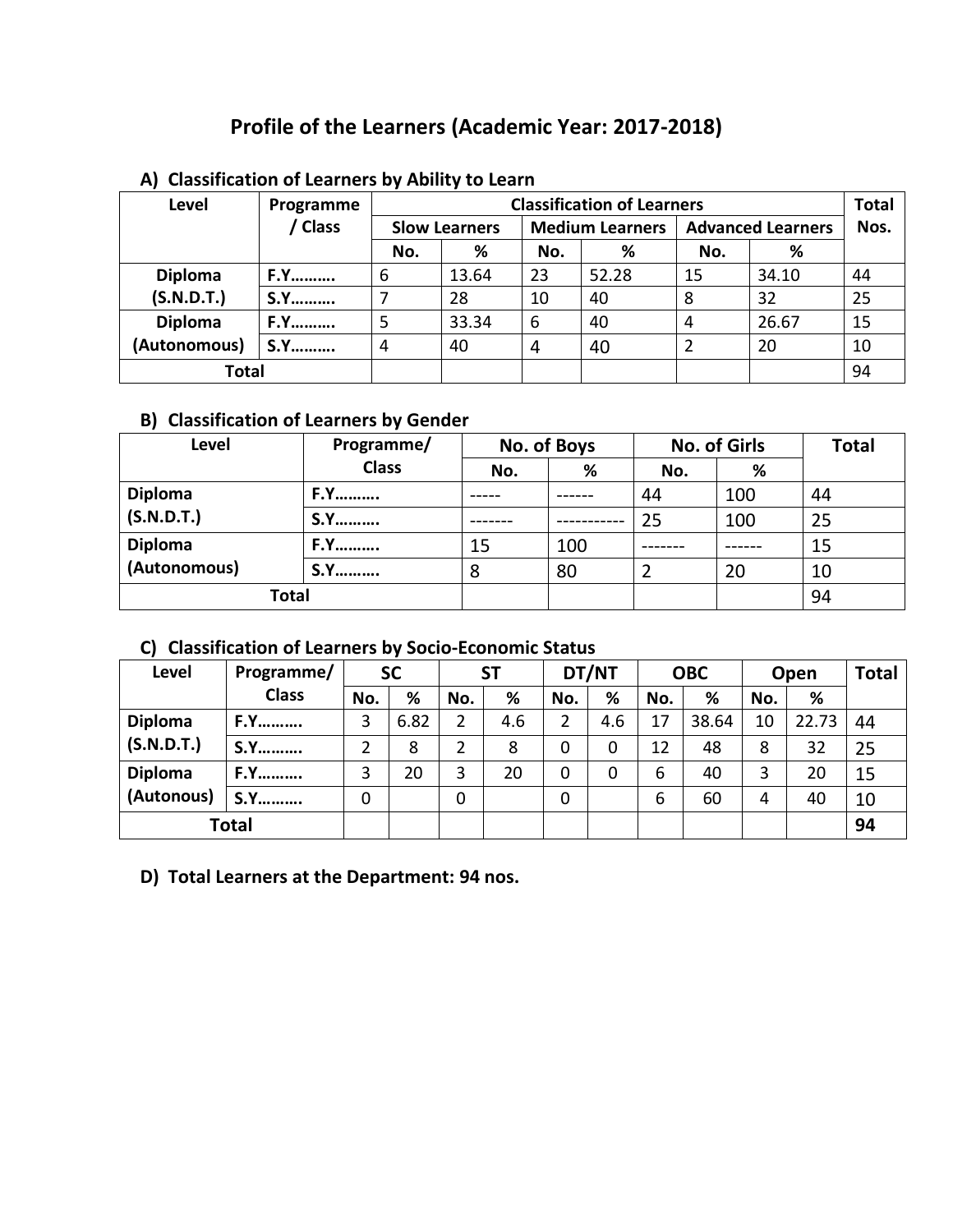# **Profile of the Learners (Academic Year: 2017-2018)**

| Level          | Programme  | <b>Classification of Learners</b> |                      |     |                        |                          |       |    |  |
|----------------|------------|-----------------------------------|----------------------|-----|------------------------|--------------------------|-------|----|--|
|                | / Class    |                                   | <b>Slow Learners</b> |     | <b>Medium Learners</b> | <b>Advanced Learners</b> | Nos.  |    |  |
|                |            | No.                               | %                    | No. | %                      | No.                      | %     |    |  |
| <b>Diploma</b> | <b>F.Y</b> | 6                                 | 13.64                | 23  | 52.28                  | 15                       | 34.10 | 44 |  |
| (S.N.D.T.)     | <b>S.Y</b> |                                   | 28                   | 10  | 40                     | 8                        | 32    | 25 |  |
| <b>Diploma</b> | <b>F.Y</b> |                                   | 33.34                | 6   | 40                     | 4                        | 26.67 | 15 |  |
| (Autonomous)   | <b>S.Y</b> | 4                                 | 40                   | 4   | 40                     | 2                        | 20    | 10 |  |
| Total          |            |                                   |                      |     |                        |                          |       | 94 |  |

#### **A) Classification of Learners by Ability to Learn**

## **B) Classification of Learners by Gender**

| <b>Level</b>   | Programme/   | No. of Boys |     |     | <b>No. of Girls</b> | <b>Total</b> |
|----------------|--------------|-------------|-----|-----|---------------------|--------------|
|                | <b>Class</b> | No.         | %   | No. | %                   |              |
| <b>Diploma</b> | <b>F.Y</b>   |             |     | 44  | 100                 | 44           |
| (S.N.D.T.)     | <b>S.Y</b>   |             |     | 25  | 100                 | 25           |
| <b>Diploma</b> | <b>F.Y</b>   | 15          | 100 |     |                     | 15           |
| (Autonomous)   | <b>S.Y</b>   | 8           | 80  |     | 20                  | 10           |
| Total          |              |             |     |     | 94                  |              |

## **C) Classification of Learners by Socio-Economic Status**

| Level          | Programme/   | <b>SC</b> |      |     | <b>ST</b> |     | DT/NT |     | <b>OBC</b> |     | Open  |    |
|----------------|--------------|-----------|------|-----|-----------|-----|-------|-----|------------|-----|-------|----|
|                | <b>Class</b> | No.       | %    | No. | %         | No. | %     | No. | %          | No. | %     |    |
| <b>Diploma</b> | <b>F.Y</b>   | 3         | 6.82 | 2   | 4.6       | 2   | 4.6   | 17  | 38.64      | 10  | 22.73 | 44 |
| (S.N.D.T.)     | S.Y          | າ         | 8    | 2   | 8         | 0   | 0     | 12  | 48         | 8   | 32    | 25 |
| <b>Diploma</b> | <b>F.Y</b>   | 3         | 20   | 3   | 20        | 0   | 0     | 6   | 40         | 3   | 20    | 15 |
| (Autonous)     | <b>S.Y</b>   | 0         |      | 0   |           | 0   |       | 6   | 60         | 4   | 40    | 10 |
| <b>Total</b>   |              |           |      |     |           |     |       |     |            |     |       | 94 |

## **D) Total Learners at the Department: 94 nos.**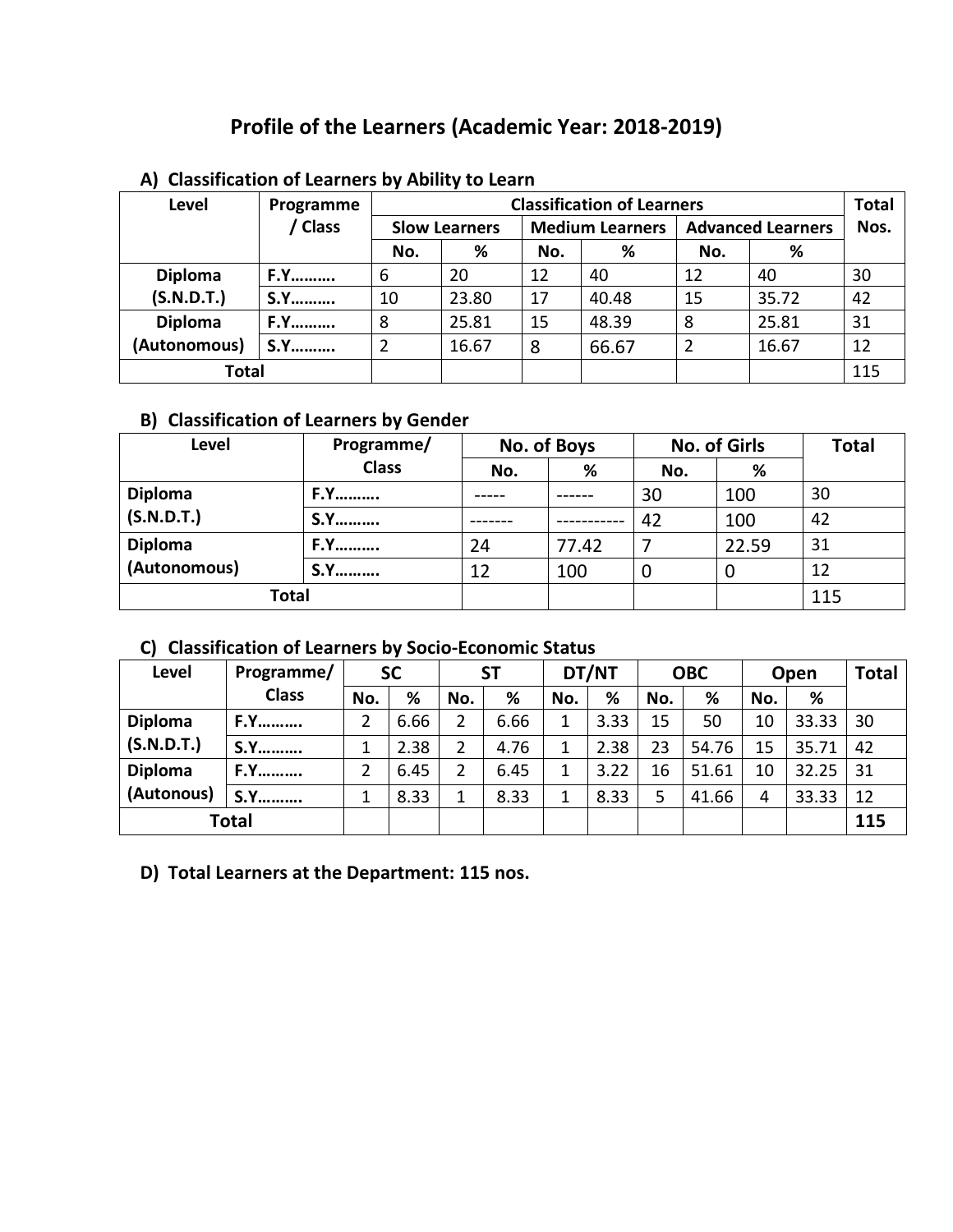# **Profile of the Learners (Academic Year: 2018-2019)**

| Level          | Programme  |     |                      |     | <b>Classification of Learners</b> |                          |       | <b>Total</b> |
|----------------|------------|-----|----------------------|-----|-----------------------------------|--------------------------|-------|--------------|
|                | / Class    |     | <b>Slow Learners</b> |     | <b>Medium Learners</b>            | <b>Advanced Learners</b> | Nos.  |              |
|                |            | No. | %                    | No. | %                                 | No.                      | %     |              |
| <b>Diploma</b> | <b>F.Y</b> | 6   | 20                   | 12  | 40                                | 12                       | 40    | 30           |
| (S.N.D.T.)     | <b>S.Y</b> | 10  | 23.80                | 17  | 40.48                             | 15                       | 35.72 | 42           |
| <b>Diploma</b> | <b>F.Y</b> | 8   | 25.81                | 15  | 48.39                             | 8                        | 25.81 | 31           |
| (Autonomous)   | <b>S.Y</b> | 2   | 16.67                | 8   | 66.67                             | $\overline{2}$           | 16.67 | 12           |
| Total          |            |     |                      |     |                                   |                          |       | 115          |

#### **A) Classification of Learners by Ability to Learn**

## **B) Classification of Learners by Gender**

| Level          | Programme/   | No. of Boys |       | <b>No. of Girls</b> | <b>Total</b> |    |
|----------------|--------------|-------------|-------|---------------------|--------------|----|
|                | <b>Class</b> | No.         | %     | No.                 | %            |    |
| <b>Diploma</b> | <b>F.Y</b>   |             |       | 30                  | 100          | 30 |
| (S.N.D.T.)     | <b>S.Y</b>   |             |       |                     | 100          | 42 |
| <b>Diploma</b> | <b>F.Y</b>   | 24          | 77.42 |                     | 22.59        | 31 |
| (Autonomous)   | S.Y          | 12          | 100   | 0                   | O            | 12 |
| Total          |              |             |       |                     | 115          |    |

## **C) Classification of Learners by Socio-Economic Status**

| <b>Level</b>   | Programme/   | <b>SC</b> |      | <b>ST</b> |      | DT/NT |      | <b>OBC</b> |       | Open |       | <b>Total</b> |
|----------------|--------------|-----------|------|-----------|------|-------|------|------------|-------|------|-------|--------------|
|                | <b>Class</b> | No.       | %    | No.       | %    | No.   | %    | No.        | %     | No.  | %     |              |
| <b>Diploma</b> | <b>F.Y</b>   |           | 6.66 | 2         | 6.66 | 1     | 3.33 | 15         | 50    | 10   | 33.33 | 30           |
| (S.N.D.T.)     | <b>S.Y</b>   |           | 2.38 | 2         | 4.76 | 1     | 2.38 | 23         | 54.76 | 15   | 35.71 | 42           |
| <b>Diploma</b> | <b>F.Y</b>   |           | 6.45 | 2         | 6.45 | 1     | 3.22 | 16         | 51.61 | 10   | 32.25 | 31           |
| (Autonous)     | <b>S.Y</b>   |           | 8.33 | 1         | 8.33 | 1     | 8.33 |            | 41.66 | 4    | 33.33 | 12           |
|                | <b>Total</b> |           |      |           |      |       |      |            |       |      |       | 115          |

### **D) Total Learners at the Department: 115 nos.**